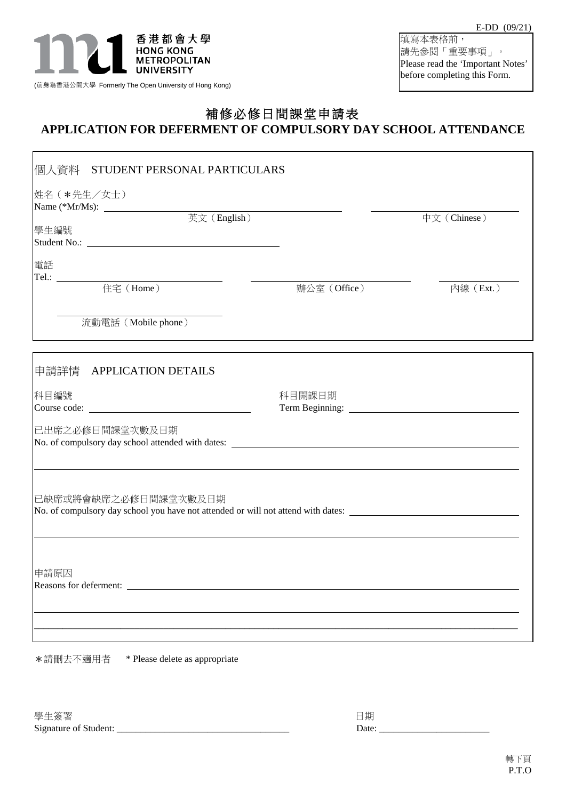

(前身為香港公開大學 Formerly The Open University of Hong Kong)

 $\mathbf{r}$ 

٦

填寫本表格前, 請先參閱「重要事項」。 Please read the 'Important Notes' before completing this Form.

## 補修必修日間課堂申請表

## **APPLICATION FOR DEFERMENT OF COMPULSORY DAY SCHOOL ATTENDANCE**

| 學生編號                                                                                                                                                                                                                                                                                                                                                                                                                                                                                           |              | 中文 (Chinese) |
|------------------------------------------------------------------------------------------------------------------------------------------------------------------------------------------------------------------------------------------------------------------------------------------------------------------------------------------------------------------------------------------------------------------------------------------------------------------------------------------------|--------------|--------------|
| 電話<br>$\begin{tabular}{c} Tel.: \begin{tabular}{l} \multicolumn{2}{c} {\textbf{1}}\\ \multicolumn{2}{c} {\textbf{2}}\\ \multicolumn{2}{c} {\textbf{2}}\\ \multicolumn{2}{c} {\textbf{4}}\\ \multicolumn{2}{c} {\textbf{5}}\\ \multicolumn{2}{c} {\textbf{6}}\\ \multicolumn{2}{c} {\textbf{6}}\\ \multicolumn{2}{c} {\textbf{7}}\\ \multicolumn{2}{c} {\textbf{8}}\\ \multicolumn{2}{c} {\textbf{9}}\\ \multicolumn{2}{c} {\textbf{1}}\\ \multicolumn{2}{c} {\textbf{1}}\\ \multicolumn{2}{c}$ |              |              |
|                                                                                                                                                                                                                                                                                                                                                                                                                                                                                                | 辦公室 (Office) | 内線 (Ext.)    |
| 流動電話 (Mobile phone)                                                                                                                                                                                                                                                                                                                                                                                                                                                                            |              |              |
| 申請詳情 APPLICATION DETAILS                                                                                                                                                                                                                                                                                                                                                                                                                                                                       |              |              |
| 科目編號                                                                                                                                                                                                                                                                                                                                                                                                                                                                                           | 科目開課日期       |              |
| 已出席之必修日間課堂次數及日期                                                                                                                                                                                                                                                                                                                                                                                                                                                                                |              |              |
| 已缺席或將會缺席之必修日間課堂次數及日期<br>No. of compulsory day school you have not attended or will not attend with dates:                                                                                                                                                                                                                                                                                                                                                                                      |              |              |
| 申請原因                                                                                                                                                                                                                                                                                                                                                                                                                                                                                           |              |              |
|                                                                                                                                                                                                                                                                                                                                                                                                                                                                                                |              |              |
|                                                                                                                                                                                                                                                                                                                                                                                                                                                                                                |              |              |

\*請刪去不適用者 \* Please delete as appropriate

學生簽署 日期 こうしょう しゅうしょく しゅうしょく しんしゅう しょくしゅう Signature of Student: \_\_\_\_\_\_\_\_\_\_\_\_\_\_\_\_\_\_\_\_\_\_\_\_\_\_\_\_\_\_\_\_\_\_\_\_ Date: \_\_\_\_\_\_\_\_\_\_\_\_\_\_\_\_\_\_\_\_\_\_\_

| 日期    |  |  |  |
|-------|--|--|--|
| Date: |  |  |  |